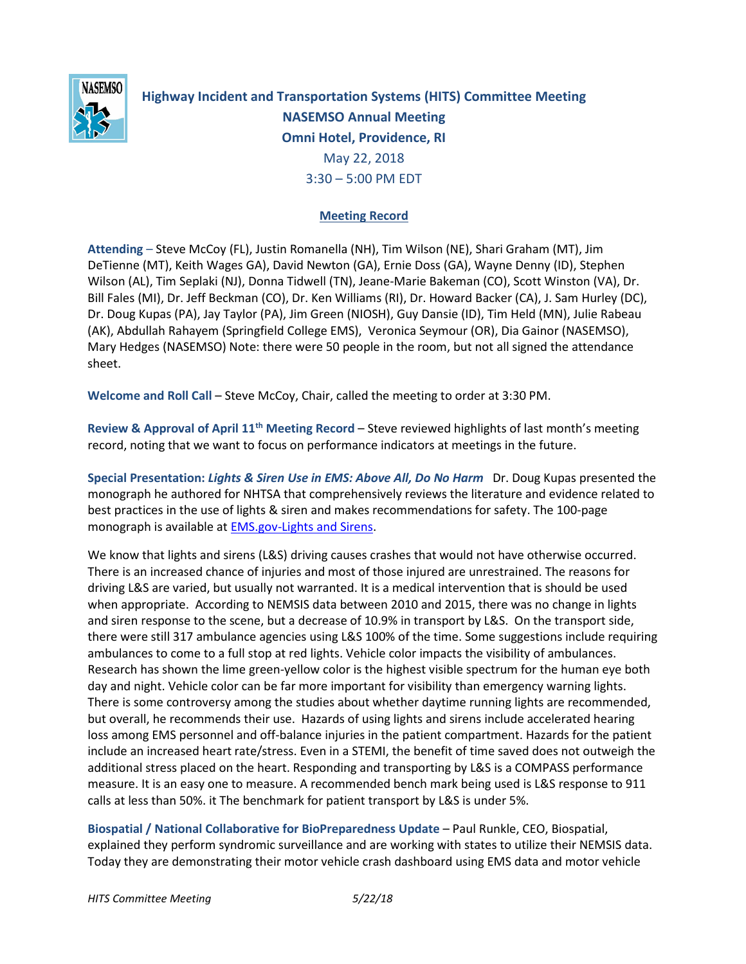

**Highway Incident and Transportation Systems (HITS) Committee Meeting NASEMSO Annual Meeting Omni Hotel, Providence, RI** May 22, 2018 3:30 – 5:00 PM EDT

## **Meeting Record**

**Attending** – Steve McCoy (FL), Justin Romanella (NH), Tim Wilson (NE), Shari Graham (MT), Jim DeTienne (MT), Keith Wages GA), David Newton (GA), Ernie Doss (GA), Wayne Denny (ID), Stephen Wilson (AL), Tim Seplaki (NJ), Donna Tidwell (TN), Jeane-Marie Bakeman (CO), Scott Winston (VA), Dr. Bill Fales (MI), Dr. Jeff Beckman (CO), Dr. Ken Williams (RI), Dr. Howard Backer (CA), J. Sam Hurley (DC), Dr. Doug Kupas (PA), Jay Taylor (PA), Jim Green (NIOSH), Guy Dansie (ID), Tim Held (MN), Julie Rabeau (AK), Abdullah Rahayem (Springfield College EMS), Veronica Seymour (OR), Dia Gainor (NASEMSO), Mary Hedges (NASEMSO) Note: there were 50 people in the room, but not all signed the attendance sheet.

**Welcome and Roll Call** – Steve McCoy, Chair, called the meeting to order at 3:30 PM.

**Review & Approval of April 11th Meeting Record** – Steve reviewed highlights of last month's meeting record, noting that we want to focus on performance indicators at meetings in the future[.](http://nasemso.org/Projects/HITS/documents/HITS-Minutes-13Dec2017.pdf)

**Special Presentation:** *Lights & Siren Use in EMS: Above All, Do No Harm* Dr. Doug Kupas presented the monograph he authored for NHTSA that comprehensively reviews the literature and evidence related to best practices in the use of lights & siren and makes recommendations for safety. The 100-page monograph is available at [EMS.gov-Lights and Sirens.](https://www.ems.gov/pdf/Lights_and_Sirens_Use_by_EMS_May_2017.pdf)

We know that lights and sirens (L&S) driving causes crashes that would not have otherwise occurred. There is an increased chance of injuries and most of those injured are unrestrained. The reasons for driving L&S are varied, but usually not warranted. It is a medical intervention that is should be used when appropriate. According to NEMSIS data between 2010 and 2015, there was no change in lights and siren response to the scene, but a decrease of 10.9% in transport by L&S. On the transport side, there were still 317 ambulance agencies using L&S 100% of the time. Some suggestions include requiring ambulances to come to a full stop at red lights. Vehicle color impacts the visibility of ambulances. Research has shown the lime green-yellow color is the highest visible spectrum for the human eye both day and night. Vehicle color can be far more important for visibility than emergency warning lights. There is some controversy among the studies about whether daytime running lights are recommended, but overall, he recommends their use. Hazards of using lights and sirens include accelerated hearing loss among EMS personnel and off-balance injuries in the patient compartment. Hazards for the patient include an increased heart rate/stress. Even in a STEMI, the benefit of time saved does not outweigh the additional stress placed on the heart. Responding and transporting by L&S is a COMPASS performance measure. It is an easy one to measure. A recommended bench mark being used is L&S response to 911 calls at less than 50%. it The benchmark for patient transport by L&S is under 5%.

**Biospatial / National Collaborative for BioPreparedness Update** – Paul Runkle, CEO, Biospatial, explained they perform syndromic surveillance and are working with states to utilize their NEMSIS data. Today they are demonstrating their motor vehicle crash dashboard using EMS data and motor vehicle